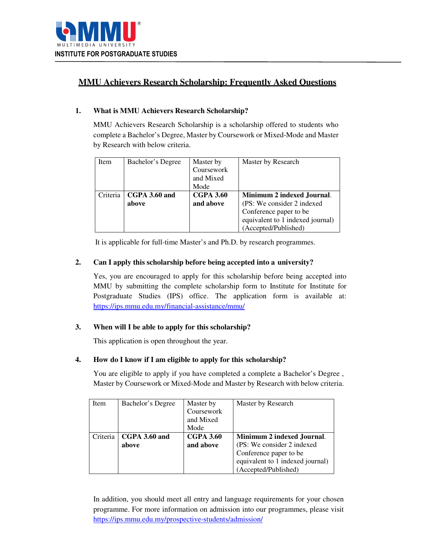

# **MMU Achievers Research Scholarship: Frequently Asked Questions**

# **1. What is MMU Achievers Research Scholarship?**

MMU Achievers Research Scholarship is a scholarship offered to students who complete a Bachelor's Degree, Master by Coursework or Mixed-Mode and Master by Research with below criteria.

| Item     | Bachelor's Degree | Master by<br>Coursework<br>and Mixed<br>Mode | Master by Research               |
|----------|-------------------|----------------------------------------------|----------------------------------|
| Criteria | CGPA 3.60 and     | <b>CGPA 3.60</b>                             | Minimum 2 indexed Journal.       |
|          | above             | and above                                    | (PS: We consider 2 indexed       |
|          |                   |                                              | Conference paper to be           |
|          |                   |                                              | equivalent to 1 indexed journal) |
|          |                   |                                              | (Accepted/Published)             |

It is applicable for full-time Master's and Ph.D. by research programmes.

## **2. Can I apply this scholarship before being accepted into a university?**

Yes, you are encouraged to apply for this scholarship before being accepted into MMU by submitting the complete scholarship form to Institute for Institute for Postgraduate Studies (IPS) office. The application form is available at: https://ips.mmu.edu.my/financial-assistance/mmu/

### **3. When will I be able to apply for this scholarship?**

This application is open throughout the year.

# **4. How do I know if I am eligible to apply for this scholarship?**

You are eligible to apply if you have completed a complete a Bachelor's Degree, Master by Coursework or Mixed-Mode and Master by Research with below criteria.

| Item     | Bachelor's Degree | Master by        | Master by Research               |
|----------|-------------------|------------------|----------------------------------|
|          |                   | Coursework       |                                  |
|          |                   | and Mixed        |                                  |
|          |                   | Mode             |                                  |
| Criteria | CGPA 3.60 and     | <b>CGPA 3.60</b> | Minimum 2 indexed Journal.       |
|          | above             | and above        | (PS: We consider 2 indexed)      |
|          |                   |                  | Conference paper to be           |
|          |                   |                  | equivalent to 1 indexed journal) |
|          |                   |                  | (Accepted/Published)             |

In addition, you should meet all entry and language requirements for your chosen programme. For more information on admission into our programmes, please visit https://ips.mmu.edu.my/prospective-students/admission/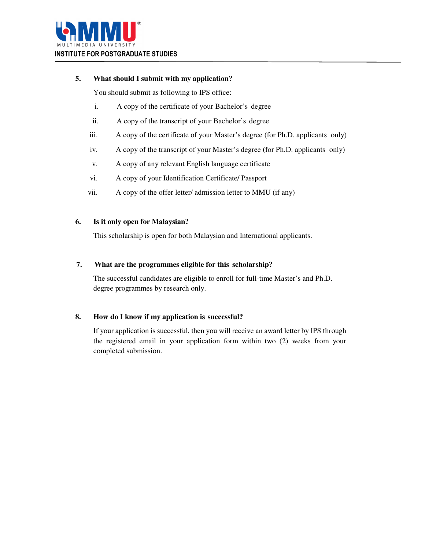

# **5. What should I submit with my application?**

You should submit as following to IPS office:

- i. A copy of the certificate of your Bachelor's degree
- ii. A copy of the transcript of your Bachelor's degree
- iii. A copy of the certificate of your Master's degree (for Ph.D. applicants only)
- iv. A copy of the transcript of your Master's degree (for Ph.D. applicants only)
- v. A copy of any relevant English language certificate
- vi. A copy of your Identification Certificate/ Passport
- vii. A copy of the offer letter/ admission letter to MMU (if any)

## **6. Is it only open for Malaysian?**

This scholarship is open for both Malaysian and International applicants.

## **7. What are the programmes eligible for this scholarship?**

The successful candidates are eligible to enroll for full-time Master's and Ph.D. degree programmes by research only.

# **8. How do I know if my application is successful?**

If your application is successful, then you will receive an award letter by IPS through the registered email in your application form within two (2) weeks from your completed submission.